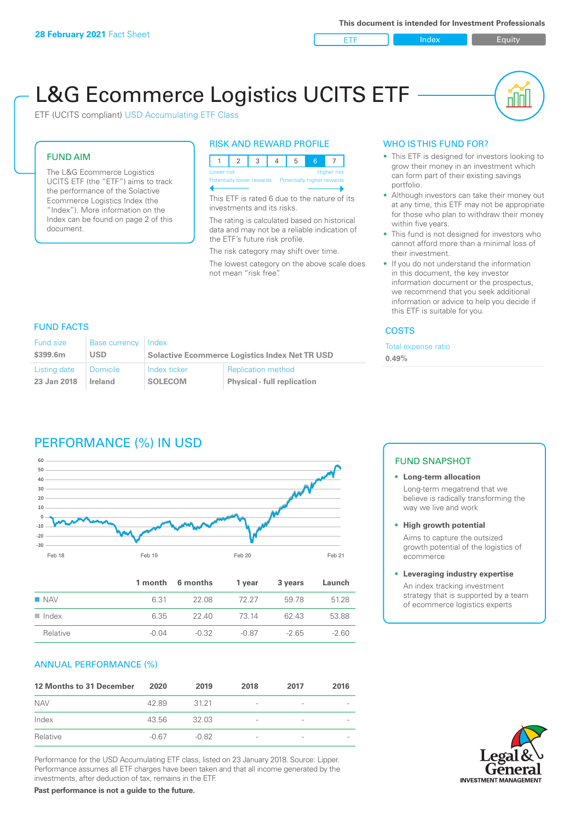ETF Index Buity

# L&G Ecommerce Logistics UCITS ETF

ETF (UCITS compliant) USD Accumulating ETF Class

### FUND AIM

The L&G Ecommerce Logistics UCITS ETF (the "ETF") aims to track the performance of the Solactive Ecommerce Logistics Index (the "Index"). More information on the Index can be found on page 2 of this document.

### RISK AND REWARD PROFILE



This ETF is rated 6 due to the nature of its investments and its risks.

The rating is calculated based on historical data and may not be a reliable indication of the ETF's future risk profile.

The risk category may shift over time.

The lowest category on the above scale does not mean "risk free".

### WHO IS THIS FUND FOR?

- This ETF is designed for investors looking to grow their money in an investment which can form part of their existing savings portfolio.
- Although investors can take their money out at any time, this ETF may not be appropriate for those who plan to withdraw their money within five years.
- This fund is not designed for investors who cannot afford more than a minimal loss of their investment.
- If you do not understand the information in this document, the key investor information document or the prospectus, we recommend that you seek additional information or advice to help you decide if this ETF is suitable for you.

### **COSTS**

Total expense ratio **0.49%**

### FUND FACTS

| <b>Fund size</b> | <b>Base currency</b> | l Index                                               |                                    |  |
|------------------|----------------------|-------------------------------------------------------|------------------------------------|--|
| \$399.6m         | <b>USD</b>           | <b>Solactive Ecommerce Logistics Index Net TR USD</b> |                                    |  |
| Listing date     | Domicile             | Index ticker                                          | <b>Replication method</b>          |  |
| 23 Jan 2018      | <b>Ireland</b>       | <b>SOLECOM</b>                                        | <b>Physical - full replication</b> |  |

# PERFORMANCE (%) IN USD



|                      |       | 1 month 6 months | 1 vear  | 3 years | Launch  |
|----------------------|-------|------------------|---------|---------|---------|
| $\blacksquare$ NAV   | 6.31  | 22.08            | 72.27   | 5978    | 51.28   |
| $\blacksquare$ Index | 6.35  | 22.40            | 73 14   | 6243    | 53.88   |
| Relative             | -0.04 | $-0.32$          | $-0.87$ | $-265$  | $-2.60$ |

### ANNUAL PERFORMANCE (%)

| 12 Months to 31 December | 2020    | 2019    | 2018                     | 2017            | 2016 |
|--------------------------|---------|---------|--------------------------|-----------------|------|
| <b>NAV</b>               | 42.89   | 31 21   | -                        | $\qquad \qquad$ |      |
| Index                    | 43.56   | 32.03   | $\overline{\phantom{a}}$ | $\qquad \qquad$ |      |
| Relative                 | $-0.67$ | $-0.82$ | $\overline{\phantom{a}}$ | $\qquad \qquad$ |      |

Performance for the USD Accumulating ETF class, listed on 23 January 2018. Source: Lipper. Performance assumes all ETF charges have been taken and that all income generated by the investments, after deduction of tax, remains in the ETF.

### FUND SNAPSHOT

**• Long-term allocation** Long-term megatrend that we believe is radically transforming the way we live and work

**• High growth potential**

Aims to capture the outsized growth potential of the logistics of ecommerce

#### **• Leveraging industry expertise**

An index tracking investment strategy that is supported by a team of ecommerce logistics experts



**Past performance is not a guide to the future.**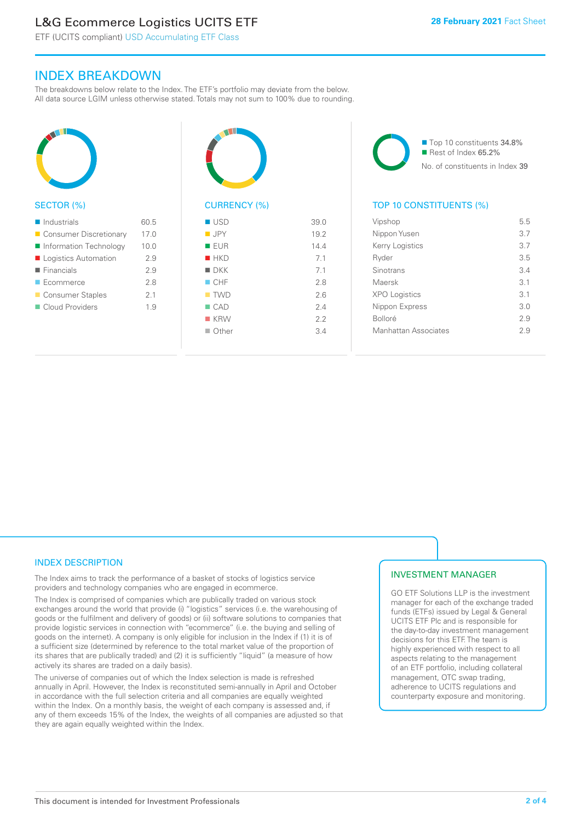# L&G Ecommerce Logistics UCITS ETF

ETF (UCITS compliant) USD Accumulating ETF Class

# INDEX BREAKDOWN

The breakdowns below relate to the Index. The ETF's portfolio may deviate from the below. All data source LGIM unless otherwise stated. Totals may not sum to 100% due to rounding.



### SECTOR (%)

| $\blacksquare$ Industrials | 60.5 |
|----------------------------|------|
| ■ Consumer Discretionary   | 17.0 |
| Information Technology     | 10.0 |
| Logistics Automation       | 2.9  |
| $\blacksquare$ Financials  | 2.9  |
| $\blacksquare$ Ecommerce   | 2.8  |
| ■ Consumer Staples         | 2.1  |
| Cloud Providers            | 1.9  |
|                            |      |



# CURRENCY (%)

| $\blacksquare$ USD | 39.0 |
|--------------------|------|
| $\blacksquare$ JPY | 19.2 |
| <b>EUR</b>         | 14.4 |
| HKD                | 7.1  |
| $\blacksquare$ DKK | 7.1  |
| CHF                | 2.8  |
| $\blacksquare$ TWD | 2.6  |
| $\Box$ CAD         | 2.4  |
| <b>KRW</b>         | 2.2  |
| $\Box$ Other       | 34   |
|                    |      |

■ Top 10 constituents 34.8% Rest of Index 65.2% No. of constituents in Index 39

### TOP 10 CONSTITUENTS (%)

| Vipshop              | 5.5 |
|----------------------|-----|
| Nippon Yusen         | 37  |
| Kerry Logistics      | 3.7 |
| Ryder                | 3.5 |
| Sinotrans            | 34  |
| Maersk               | 31  |
| <b>XPO Logistics</b> | 31  |
| Nippon Express       | 3 O |
| <b>Bolloré</b>       | 29  |
| Manhattan Associates | 2.9 |
|                      |     |

# INDEX DESCRIPTION

The Index aims to track the performance of a basket of stocks of logistics service providers and technology companies who are engaged in ecommerce.

The Index is comprised of companies which are publically traded on various stock exchanges around the world that provide (i) "logistics" services (i.e. the warehousing of goods or the fulfilment and delivery of goods) or (ii) software solutions to companies that provide logistic services in connection with "ecommerce" (i.e. the buying and selling of goods on the internet). A company is only eligible for inclusion in the Index if (1) it is of a sufficient size (determined by reference to the total market value of the proportion of its shares that are publically traded) and (2) it is sufficiently "liquid" (a measure of how actively its shares are traded on a daily basis).

The universe of companies out of which the Index selection is made is refreshed annually in April. However, the Index is reconstituted semi-annually in April and October in accordance with the full selection criteria and all companies are equally weighted within the Index. On a monthly basis, the weight of each company is assessed and, if any of them exceeds 15% of the Index, the weights of all companies are adjusted so that they are again equally weighted within the Index.

### INVESTMENT MANAGER

GO ETF Solutions LLP is the investment manager for each of the exchange traded funds (ETFs) issued by Legal & General UCITS ETF Plc and is responsible for the day-to-day investment management decisions for this ETF. The team is highly experienced with respect to all aspects relating to the management of an ETF portfolio, including collateral management, OTC swap trading, adherence to UCITS regulations and counterparty exposure and monitoring.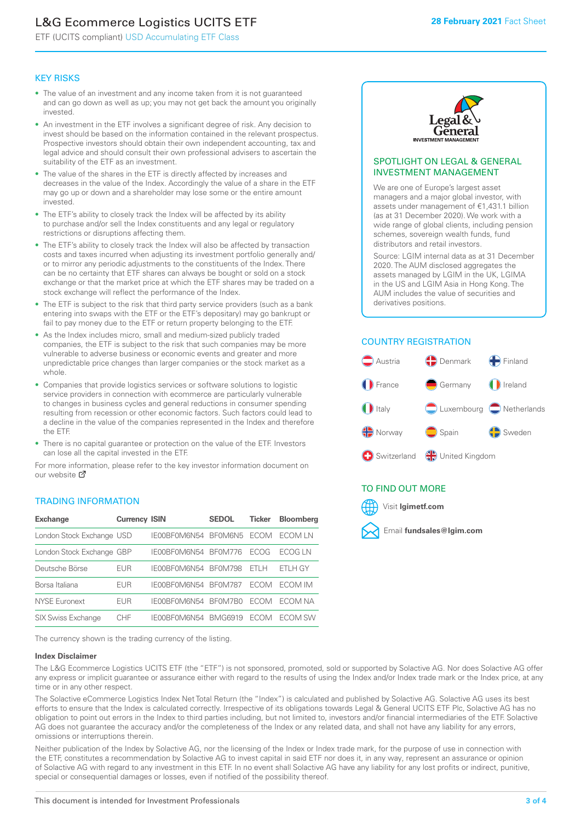# L&G Ecommerce Logistics UCITS ETF

ETF (UCITS compliant) USD Accumulating ETF Class

### KEY RISKS

- The value of an investment and any income taken from it is not guaranteed and can go down as well as up; you may not get back the amount you originally invested.
- An investment in the ETF involves a significant degree of risk. Any decision to invest should be based on the information contained in the relevant prospectus. Prospective investors should obtain their own independent accounting, tax and legal advice and should consult their own professional advisers to ascertain the suitability of the ETF as an investment.
- The value of the shares in the ETF is directly affected by increases and decreases in the value of the Index. Accordingly the value of a share in the ETF may go up or down and a shareholder may lose some or the entire amount invested.
- The ETF's ability to closely track the Index will be affected by its ability to purchase and/or sell the Index constituents and any legal or regulatory restrictions or disruptions affecting them.
- The ETF's ability to closely track the Index will also be affected by transaction costs and taxes incurred when adjusting its investment portfolio generally and/ or to mirror any periodic adjustments to the constituents of the Index. There can be no certainty that ETF shares can always be bought or sold on a stock exchange or that the market price at which the ETF shares may be traded on a stock exchange will reflect the performance of the Index.
- The ETF is subject to the risk that third party service providers (such as a bank entering into swaps with the ETF or the ETF's depositary) may go bankrupt or fail to pay money due to the ETF or return property belonging to the ETF.
- As the Index includes micro, small and medium-sized publicly traded companies, the ETF is subject to the risk that such companies may be more vulnerable to adverse business or economic events and greater and more unpredictable price changes than larger companies or the stock market as a whole.
- Companies that provide logistics services or software solutions to logistic service providers in connection with ecommerce are particularly vulnerable to changes in business cycles and general reductions in consumer spending resulting from recession or other economic factors. Such factors could lead to a decline in the value of the companies represented in the Index and therefore the ETF.
- There is no capital guarantee or protection on the value of the ETF. Investors can lose all the capital invested in the ETF.

For more in[form](https://www.lgimetf.com/)ation, please refer to the key investor information document on our website M

### TRADING INFORMATION

| <b>Exchange</b>           | <b>Currency ISIN</b> |              | <b>SEDOL</b>   | <b>Ticker</b> | <b>Bloomberg</b> |
|---------------------------|----------------------|--------------|----------------|---------------|------------------|
| London Stock Exchange USD |                      | IE00BF0M6N54 | BFOM6N5        | <b>FCOM</b>   | ECOM I N         |
| London Stock Exchange GBP |                      | IE00BF0M6N54 | <b>BF0M776</b> | <b>FCOG</b>   | FCOG I N         |
| Deutsche Börse            | <b>EUR</b>           | IE00BF0M6N54 | <b>BF0M798</b> | FTI H         | ETLH GY          |
| Borsa Italiana            | <b>EUR</b>           | IE00BF0M6N54 | <b>BF0M787</b> | <b>FCOM</b>   | ECOM IM          |
| <b>NYSE Euronext</b>      | EUR                  | IFOORFOM6N54 | BF0M7B0        | <b>FCOM</b>   | FCOM NA          |
| <b>SIX Swiss Exchange</b> | CHF                  | IE00BF0M6N54 | <b>BMG6919</b> | <b>FCOM</b>   | FCOM SW          |

The currency shown is the trading currency of the listing.

#### **Index Disclaimer**

The L&G Ecommerce Logistics UCITS ETF (the "ETF") is not sponsored, promoted, sold or supported by Solactive AG. Nor does Solactive AG offer any express or implicit guarantee or assurance either with regard to the results of using the Index and/or Index trade mark or the Index price, at any time or in any other respect.

The Solactive eCommerce Logistics Index Net Total Return (the "Index") is calculated and published by Solactive AG. Solactive AG uses its best efforts to ensure that the Index is calculated correctly. Irrespective of its obligations towards Legal & General UCITS ETF Plc, Solactive AG has no obligation to point out errors in the Index to third parties including, but not limited to, investors and/or financial intermediaries of the ETF. Solactive AG does not guarantee the accuracy and/or the completeness of the Index or any related data, and shall not have any liability for any errors, omissions or interruptions therein.

Neither publication of the Index by Solactive AG, nor the licensing of the Index or Index trade mark, for the purpose of use in connection with the ETF, constitutes a recommendation by Solactive AG to invest capital in said ETF nor does it, in any way, represent an assurance or opinion of Solactive AG with regard to any investment in this ETF. In no event shall Solactive AG have any liability for any lost profits or indirect, punitive, special or consequential damages or losses, even if notified of the possibility thereof.



### SPOTLIGHT ON LEGAL & GENERAL INVESTMENT MANAGEMENT

We are one of Europe's largest asset managers and a major global investor, with assets under management of €1,431.1 billion (as at 31 December 2020). We work with a wide range of global clients, including pension schemes, sovereign wealth funds, fund distributors and retail investors.

Source: LGIM internal data as at 31 December 2020. The AUM disclosed aggregates the assets managed by LGIM in the UK, LGIMA in the US and LGIM Asia in Hong Kong. The AUM includes the value of securities and derivatives positions.

### COUNTRY REGISTRATION



# TO FIND OUT MORE